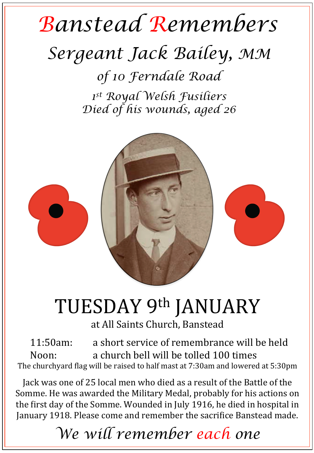## *Banstead Remembers Sergeant Jack Bailey, MM of 10 Ferndale Road*

*1st Royal Welsh Fusiliers Died of his wounds, aged 26* 



## TUESDAY 9th JANUARY

at All Saints Church, Banstead

11:50am: a short service of remembrance will be held Noon: a church bell will be tolled 100 times The churchyard flag will be raised to half mast at 7:30am and lowered at 5:30pm

Jack was one of 25 local men who died as a result of the Battle of the Somme. He was awarded the Military Medal, probably for his actions on the first day of the Somme. Wounded in July 1916, he died in hospital in January 1918. Please come and remember the sacrifice Banstead made.

*We will remember each one*